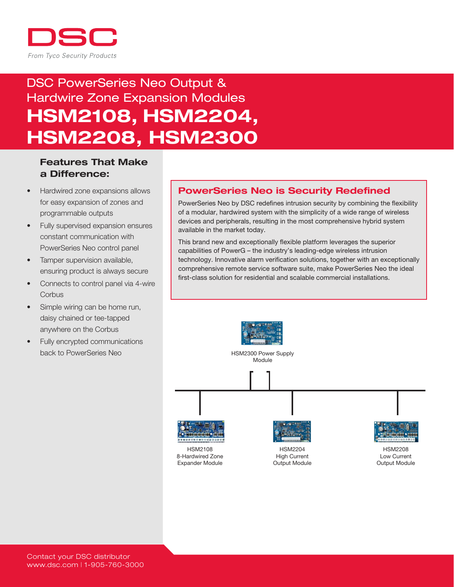

# DSC PowerSeries Neo Output & Hardwire Zone Expansion Modules HSM2108, HSM2204, HSM2208, HSM2300

### Features That Make a Difference:

- Hardwired zone expansions allows for easy expansion of zones and programmable outputs
- Fully supervised expansion ensures constant communication with PowerSeries Neo control panel
- Tamper supervision available, ensuring product is always secure
- Connects to control panel via 4-wire **Corbus**
- Simple wiring can be home run, daisy chained or tee-tapped anywhere on the Corbus
- • Fully encrypted communications back to PowerSeries Neo

### PowerSeries Neo is Security Redefined

PowerSeries Neo by DSC redefines intrusion security by combining the flexibility of a modular, hardwired system with the simplicity of a wide range of wireless devices and peripherals, resulting in the most comprehensive hybrid system available in the market today.

This brand new and exceptionally flexible platform leverages the superior capabilities of PowerG – the industry's leading-edge wireless intrusion technology. Innovative alarm verification solutions, together with an exceptionally comprehensive remote service software suite, make PowerSeries Neo the ideal first-class solution for residential and scalable commercial installations.

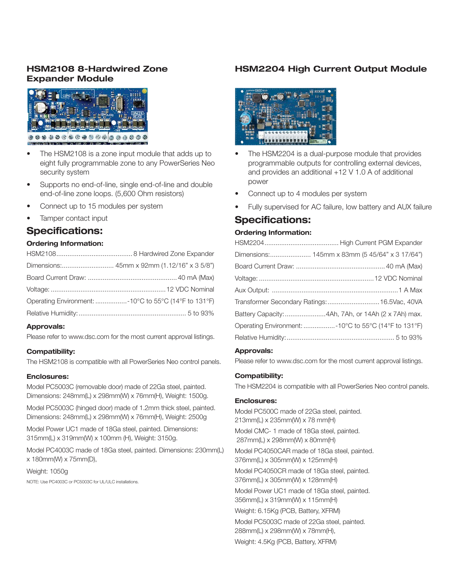### HSM2108 8-Hardwired Zone Expander Module



- The HSM2108 is a zone input module that adds up to eight fully programmable zone to any PowerSeries Neo security system
- Supports no end-of-line, single end-of-line and double end-of-line zone loops. (5,600 Ohm resistors)
- Connect up to 15 modules per system
- Tamper contact input

### Specifications:

#### Ordering Information:

| Operating Environment: -10°C to 55°C (14°F to 131°F) |  |
|------------------------------------------------------|--|
|                                                      |  |

#### Approvals:

Please refer to www.dsc.com for the most current approval listings.

#### Compatibility:

The HSM2108 is compatible with all PowerSeries Neo control panels.

### Enclosures:

Model PC5003C (removable door) made of 22Ga steel, painted. Dimensions: 248mm(L) x 298mm(W) x 76mm(H), Weight: 1500g.

Model PC5003C (hinged door) made of 1.2mm thick steel, painted. Dimensions: 248mm(L) x 298mm(W) x 76mm(H), Weight: 2500g

Model Power UC1 made of 18Ga steel, painted. Dimensions: 315mm(L) x 319mm(W) x 100mm (H), Weight: 3150g.

Model PC4003C made of 18Ga steel, painted. Dimensions: 230mm(L) x 180mm(W) x 75mm(D),

Weight: 1050g NOTE: Use PC4003C or PC5003C for UL/ULC installations.

### HSM2204 High Current Output Module



- The HSM2204 is a dual-purpose module that provides programmable outputs for controlling external devices, and provides an additional +12 V 1.0 A of additional power
- Connect up to 4 modules per system
- Fully supervised for AC failure, low battery and AUX failure

## Specifications:

#### Ordering Information:

| Dimensions: 145mm x 83mm (5 45/64" x 3 17/64")       |  |
|------------------------------------------------------|--|
|                                                      |  |
|                                                      |  |
|                                                      |  |
| Transformer Secondary Ratings:  16.5Vac, 40VA        |  |
| Battery Capacity: 4Ah, 7Ah, or 14Ah (2 x 7Ah) max.   |  |
| Operating Environment: -10°C to 55°C (14°F to 131°F) |  |
|                                                      |  |
|                                                      |  |

#### Approvals:

Please refer to www.dsc.com for the most current approval listings.

#### Compatibility:

The HSM2204 is compatible with all PowerSeries Neo control panels.

#### Enclosures:

Model PC500C made of 22Ga steel, painted. 213mm(L) x 235mm(W) x 78 mm(H)

Model CMC- 1 made of 18Ga steel, painted. 287mm(L) x 298mm(W) x 80mm(H)

Model PC4050CAR made of 18Ga steel, painted. 376mm(L) x 305mm(W) x 125mm(H)

Model PC4050CR made of 18Ga steel, painted. 376mm(L) x 305mm(W) x 128mm(H)

Model Power UC1 made of 18Ga steel, painted. 356mm(L) x 319mm(W) x 115mm(H)

Weight: 6.15Kg (PCB, Battery, XFRM)

Model PC5003C made of 22Ga steel, painted. 288mm(L) x 298mm(W) x 78mm(H),

Weight: 4.5Kg (PCB, Battery, XFRM)